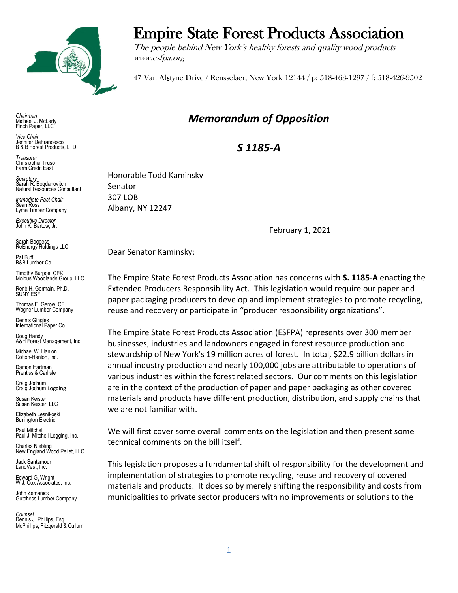

*Chairman* Michael J. McLarty Finch Paper, LLC

*Vice Chair* Jennifer DeFrancesco B & B Forest Products, LTD

*Treasurer* Christopher Truso Farm Credit East

*Secretary* Sarah R. Bogdanovitch Natural Resources Consultant

*Immediate Past Chair* Sean Ross Lyme Timber Company

*Executive Director* John K. Bartow, Jr.  $\mathcal{L}_\text{max}$  , we can also the set of the set of the set of the set of the set of the set of the set of the set of the set of the set of the set of the set of the set of the set of the set of the set of the set of the se

Sarah Boggess ReEnergy Holdings LLC

Pat Buff B&B Lumber Co.

Timothy Burpoe, CF® Molpus Woodlands Group, LLC.

Renè H. Germain, Ph.D. SUNY ESF

Thomas E. Gerow, CF Wagner Lumber Company

Dennis Gingles International Paper Co.

Doug Handy A&H Forest Management, Inc. Michael W. Hanlon

Cotton-Hanlon, Inc.

Damon Hartman Prentiss & Carlisle

Craig Jochum Craig Jochum Logging

Susan Keister Susan Keister, LLC

Elizabeth Lesnikoski **Burlington Electric** 

Paul Mitchell Paul J. Mitchell Logging, Inc.

Charles Niebling New England Wood Pellet, LLC

Jack Santamour LandVest, Inc.

Edward G. Wright W.J. Cox Associates, Inc.

John Zemanick Gutchess Lumber Company

*Counsel* Dennis J. Phillips, Esq. McPhillips, Fitzgerald & Cullum

## Empire State Forest Products Association

The people behind New York's healthy forests and quality wood products www.esfpa.org

47 Van Alstyne Drive / Rensselaer, New York 12144 / p: 518-463-1297 / f: 518-426-9502

## *Memorandum of Opposition*

*S 1185-A*

Honorable Todd Kaminsky Senator 307 LOB Albany, NY 12247

February 1, 2021

Dear Senator Kaminsky:

The Empire State Forest Products Association has concerns with **S. 1185-A** enacting the Extended Producers Responsibility Act. This legislation would require our paper and paper packaging producers to develop and implement strategies to promote recycling, reuse and recovery or participate in "producer responsibility organizations".

The Empire State Forest Products Association (ESFPA) represents over 300 member businesses, industries and landowners engaged in forest resource production and stewardship of New York's 19 million acres of forest. In total, \$22.9 billion dollars in annual industry production and nearly 100,000 jobs are attributable to operations of various industries within the forest related sectors. Our comments on this legislation are in the context of the production of paper and paper packaging as other covered materials and products have different production, distribution, and supply chains that we are not familiar with.

We will first cover some overall comments on the legislation and then present some technical comments on the bill itself.

This legislation proposes a fundamental shift of responsibility for the development and implementation of strategies to promote recycling, reuse and recovery of covered materials and products. It does so by merely shifting the responsibility and costs from municipalities to private sector producers with no improvements or solutions to the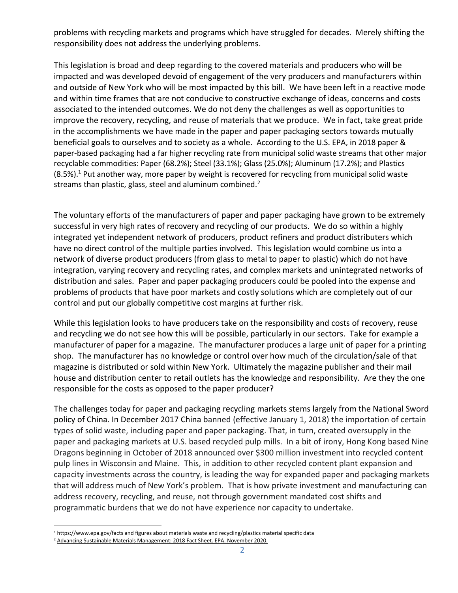problems with recycling markets and programs which have struggled for decades. Merely shifting the responsibility does not address the underlying problems.

This legislation is broad and deep regarding to the covered materials and producers who will be impacted and was developed devoid of engagement of the very producers and manufacturers within and outside of New York who will be most impacted by this bill. We have been left in a reactive mode and within time frames that are not conducive to constructive exchange of ideas, concerns and costs associated to the intended outcomes. We do not deny the challenges as well as opportunities to improve the recovery, recycling, and reuse of materials that we produce. We in fact, take great pride in the accomplishments we have made in the paper and paper packaging sectors towards mutually beneficial goals to ourselves and to society as a whole. According to the U.S. EPA, in 2018 paper & paper-based packaging had a far higher recycling rate from municipal solid waste streams that other major recyclable commodities: Paper (68.2%); Steel (33.1%); Glass (25.0%); Aluminum (17.2%); and Plastics  $(8.5%)$ <sup>1</sup>. Put another way, more paper by weight is recovered for recycling from municipal solid waste streams than plastic, glass, steel and aluminum combined.<sup>2</sup>

The voluntary efforts of the manufacturers of paper and paper packaging have grown to be extremely successful in very high rates of recovery and recycling of our products. We do so within a highly integrated yet independent network of producers, product refiners and product distributers which have no direct control of the multiple parties involved. This legislation would combine us into a network of diverse product producers (from glass to metal to paper to plastic) which do not have integration, varying recovery and recycling rates, and complex markets and unintegrated networks of distribution and sales. Paper and paper packaging producers could be pooled into the expense and problems of products that have poor markets and costly solutions which are completely out of our control and put our globally competitive cost margins at further risk.

While this legislation looks to have producers take on the responsibility and costs of recovery, reuse and recycling we do not see how this will be possible, particularly in our sectors. Take for example a manufacturer of paper for a magazine. The manufacturer produces a large unit of paper for a printing shop. The manufacturer has no knowledge or control over how much of the circulation/sale of that magazine is distributed or sold within New York. Ultimately the magazine publisher and their mail house and distribution center to retail outlets has the knowledge and responsibility. Are they the one responsible for the costs as opposed to the paper producer?

The challenges today for paper and packaging recycling markets stems largely from the National Sword policy of China. In December 2017 China banned (effective January 1, 2018) the importation of certain types of solid waste, including paper and paper packaging. That, in turn, created oversupply in the paper and packaging markets at U.S. based recycled pulp mills. In a bit of irony, Hong Kong based Nine Dragons beginning in October of 2018 announced over \$300 million investment into recycled content pulp lines in Wisconsin and Maine. This, in addition to other recycled content plant expansion and capacity investments across the country, is leading the way for expanded paper and packaging markets that will address much of New York's problem. That is how private investment and manufacturing can address recovery, recycling, and reuse, not through government mandated cost shifts and programmatic burdens that we do not have experience nor capacity to undertake.

<sup>1</sup> https://www.epa.gov/facts and figures about materials waste and recycling/plastics material specific data

<sup>&</sup>lt;sup>2</sup> [Advancing Sustainable Materials Management: 2018 Fact Sheet.](https://www.epa.gov/sites/production/files/2020-11/documents/2018_ff_fact_sheet.pdf) EPA. November 2020.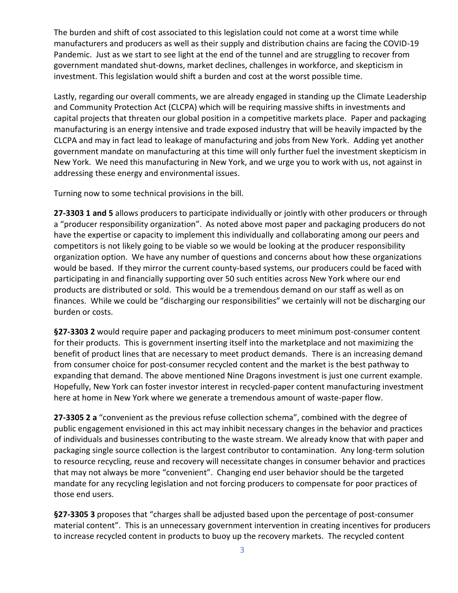The burden and shift of cost associated to this legislation could not come at a worst time while manufacturers and producers as well as their supply and distribution chains are facing the COVID-19 Pandemic. Just as we start to see light at the end of the tunnel and are struggling to recover from government mandated shut-downs, market declines, challenges in workforce, and skepticism in investment. This legislation would shift a burden and cost at the worst possible time.

Lastly, regarding our overall comments, we are already engaged in standing up the Climate Leadership and Community Protection Act (CLCPA) which will be requiring massive shifts in investments and capital projects that threaten our global position in a competitive markets place. Paper and packaging manufacturing is an energy intensive and trade exposed industry that will be heavily impacted by the CLCPA and may in fact lead to leakage of manufacturing and jobs from New York. Adding yet another government mandate on manufacturing at this time will only further fuel the investment skepticism in New York. We need this manufacturing in New York, and we urge you to work with us, not against in addressing these energy and environmental issues.

Turning now to some technical provisions in the bill.

**27-3303 1 and 5** allows producers to participate individually or jointly with other producers or through a "producer responsibility organization". As noted above most paper and packaging producers do not have the expertise or capacity to implement this individually and collaborating among our peers and competitors is not likely going to be viable so we would be looking at the producer responsibility organization option. We have any number of questions and concerns about how these organizations would be based. If they mirror the current county-based systems, our producers could be faced with participating in and financially supporting over 50 such entities across New York where our end products are distributed or sold. This would be a tremendous demand on our staff as well as on finances. While we could be "discharging our responsibilities" we certainly will not be discharging our burden or costs.

**§27-3303 2** would require paper and packaging producers to meet minimum post-consumer content for their products. This is government inserting itself into the marketplace and not maximizing the benefit of product lines that are necessary to meet product demands. There is an increasing demand from consumer choice for post-consumer recycled content and the market is the best pathway to expanding that demand. The above mentioned Nine Dragons investment is just one current example. Hopefully, New York can foster investor interest in recycled-paper content manufacturing investment here at home in New York where we generate a tremendous amount of waste-paper flow.

**27-3305 2 a** "convenient as the previous refuse collection schema", combined with the degree of public engagement envisioned in this act may inhibit necessary changes in the behavior and practices of individuals and businesses contributing to the waste stream. We already know that with paper and packaging single source collection is the largest contributor to contamination. Any long-term solution to resource recycling, reuse and recovery will necessitate changes in consumer behavior and practices that may not always be more "convenient". Changing end user behavior should be the targeted mandate for any recycling legislation and not forcing producers to compensate for poor practices of those end users.

**§27-3305 3** proposes that "charges shall be adjusted based upon the percentage of post-consumer material content". This is an unnecessary government intervention in creating incentives for producers to increase recycled content in products to buoy up the recovery markets. The recycled content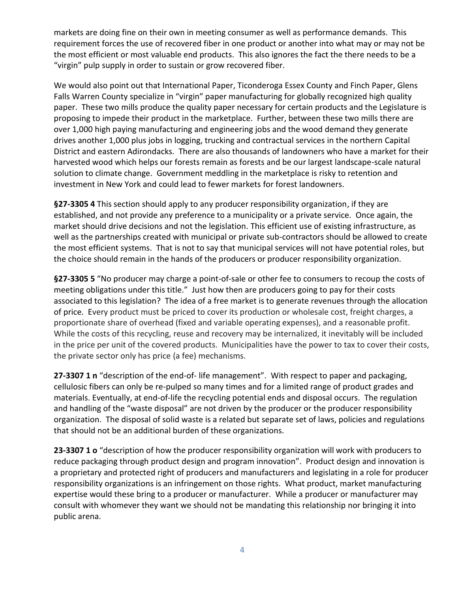markets are doing fine on their own in meeting consumer as well as performance demands. This requirement forces the use of recovered fiber in one product or another into what may or may not be the most efficient or most valuable end products. This also ignores the fact the there needs to be a "virgin" pulp supply in order to sustain or grow recovered fiber.

We would also point out that International Paper, Ticonderoga Essex County and Finch Paper, Glens Falls Warren County specialize in "virgin" paper manufacturing for globally recognized high quality paper. These two mills produce the quality paper necessary for certain products and the Legislature is proposing to impede their product in the marketplace. Further, between these two mills there are over 1,000 high paying manufacturing and engineering jobs and the wood demand they generate drives another 1,000 plus jobs in logging, trucking and contractual services in the northern Capital District and eastern Adirondacks. There are also thousands of landowners who have a market for their harvested wood which helps our forests remain as forests and be our largest landscape-scale natural solution to climate change. Government meddling in the marketplace is risky to retention and investment in New York and could lead to fewer markets for forest landowners.

**§27-3305 4** This section should apply to any producer responsibility organization, if they are established, and not provide any preference to a municipality or a private service.Once again, the market should drive decisions and not the legislation. This efficient use of existing infrastructure, as well as the partnerships created with municipal or private sub-contractors should be allowed to create the most efficient systems. That is not to say that municipal services will not have potential roles, but the choice should remain in the hands of the producers or producer responsibility organization.

**§27-3305 5** "No producer may charge a point-of-sale or other fee to consumers to recoup the costs of meeting obligations under this title." Just how then are producers going to pay for their costs associated to this legislation? The idea of a free market is to generate revenues through the allocation of price. Every product must be priced to cover its production or wholesale cost, freight charges, a proportionate share of overhead (fixed and variable operating expenses), and a reasonable profit. While the costs of this recycling, reuse and recovery may be internalized, it inevitably will be included in the price per unit of the covered products. Municipalities have the power to tax to cover their costs, the private sector only has price (a fee) mechanisms.

**27-3307 1 n** "description of the end-of- life management". With respect to paper and packaging, cellulosic fibers can only be re-pulped so many times and for a limited range of product grades and materials. Eventually, at end-of-life the recycling potential ends and disposal occurs. The regulation and handling of the "waste disposal" are not driven by the producer or the producer responsibility organization. The disposal of solid waste is a related but separate set of laws, policies and regulations that should not be an additional burden of these organizations.

**23-3307 1 o** "description of how the producer responsibility organization will work with producers to reduce packaging through product design and program innovation". Product design and innovation is a proprietary and protected right of producers and manufacturers and legislating in a role for producer responsibility organizations is an infringement on those rights. What product, market manufacturing expertise would these bring to a producer or manufacturer. While a producer or manufacturer may consult with whomever they want we should not be mandating this relationship nor bringing it into public arena.